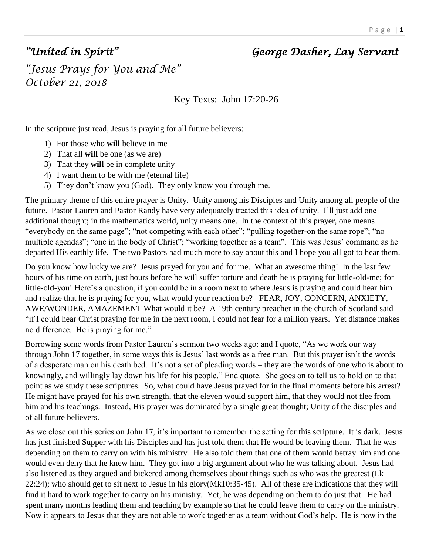## *"United in Spirit" George Dasher, Lay Servant*

*"Jesus Prays for You and Me" October 21, 2018* 

Key Texts: John 17:20-26

In the scripture just read, Jesus is praying for all future believers:

- 1) For those who **will** believe in me
- 2) That all **will** be one (as we are)
- 3) That they **will** be in complete unity
- 4) I want them to be with me (eternal life)
- 5) They don't know you (God). They only know you through me.

The primary theme of this entire prayer is Unity. Unity among his Disciples and Unity among all people of the future. Pastor Lauren and Pastor Randy have very adequately treated this idea of unity. I'll just add one additional thought; in the mathematics world, unity means one. In the context of this prayer, one means "everybody on the same page"; "not competing with each other"; "pulling together-on the same rope"; "no multiple agendas"; "one in the body of Christ"; "working together as a team". This was Jesus' command as he departed His earthly life. The two Pastors had much more to say about this and I hope you all got to hear them.

Do you know how lucky we are? Jesus prayed for you and for me. What an awesome thing! In the last few hours of his time on earth, just hours before he will suffer torture and death he is praying for little-old-me; for little-old-you! Here's a question, if you could be in a room next to where Jesus is praying and could hear him and realize that he is praying for you, what would your reaction be? FEAR, JOY, CONCERN, ANXIETY, AWE/WONDER, AMAZEMENT What would it be? A 19th century preacher in the church of Scotland said "if I could hear Christ praying for me in the next room, I could not fear for a million years. Yet distance makes no difference. He is praying for me."

Borrowing some words from Pastor Lauren's sermon two weeks ago: and I quote, "As we work our way through John 17 together, in some ways this is Jesus' last words as a free man. But this prayer isn't the words of a desperate man on his death bed. It's not a set of pleading words – they are the words of one who is about to knowingly, and willingly lay down his life for his people." End quote. She goes on to tell us to hold on to that point as we study these scriptures. So, what could have Jesus prayed for in the final moments before his arrest? He might have prayed for his own strength, that the eleven would support him, that they would not flee from him and his teachings. Instead, His prayer was dominated by a single great thought; Unity of the disciples and of all future believers.

As we close out this series on John 17, it's important to remember the setting for this scripture. It is dark. Jesus has just finished Supper with his Disciples and has just told them that He would be leaving them. That he was depending on them to carry on with his ministry. He also told them that one of them would betray him and one would even deny that he knew him. They got into a big argument about who he was talking about. Jesus had also listened as they argued and bickered among themselves about things such as who was the greatest (Lk 22:24); who should get to sit next to Jesus in his glory(Mk10:35-45). All of these are indications that they will find it hard to work together to carry on his ministry. Yet, he was depending on them to do just that. He had spent many months leading them and teaching by example so that he could leave them to carry on the ministry. Now it appears to Jesus that they are not able to work together as a team without God's help. He is now in the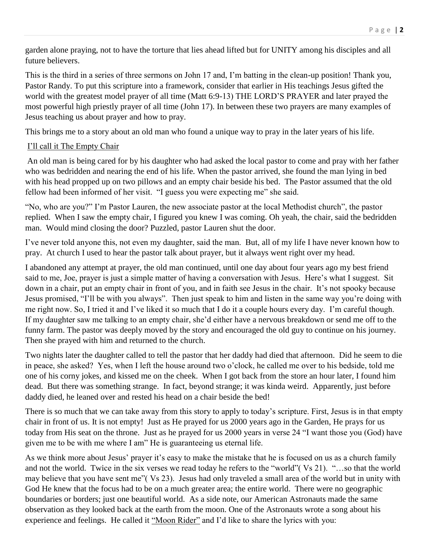garden alone praying, not to have the torture that lies ahead lifted but for UNITY among his disciples and all future believers.

This is the third in a series of three sermons on John 17 and, I'm batting in the clean-up position! Thank you, Pastor Randy. To put this scripture into a framework, consider that earlier in His teachings Jesus gifted the world with the greatest model prayer of all time (Matt 6:9-13) THE LORD'S PRAYER and later prayed the most powerful high priestly prayer of all time (John 17). In between these two prayers are many examples of Jesus teaching us about prayer and how to pray.

This brings me to a story about an old man who found a unique way to pray in the later years of his life.

## I'll call it The Empty Chair

An old man is being cared for by his daughter who had asked the local pastor to come and pray with her father who was bedridden and nearing the end of his life. When the pastor arrived, she found the man lying in bed with his head propped up on two pillows and an empty chair beside his bed. The Pastor assumed that the old fellow had been informed of her visit. "I guess you were expecting me" she said.

"No, who are you?" I'm Pastor Lauren, the new associate pastor at the local Methodist church", the pastor replied. When I saw the empty chair, I figured you knew I was coming. Oh yeah, the chair, said the bedridden man. Would mind closing the door? Puzzled, pastor Lauren shut the door.

I've never told anyone this, not even my daughter, said the man. But, all of my life I have never known how to pray. At church I used to hear the pastor talk about prayer, but it always went right over my head.

I abandoned any attempt at prayer, the old man continued, until one day about four years ago my best friend said to me, Joe, prayer is just a simple matter of having a conversation with Jesus. Here's what I suggest. Sit down in a chair, put an empty chair in front of you, and in faith see Jesus in the chair. It's not spooky because Jesus promised, "I'll be with you always". Then just speak to him and listen in the same way you're doing with me right now. So, I tried it and I've liked it so much that I do it a couple hours every day. I'm careful though. If my daughter saw me talking to an empty chair, she'd either have a nervous breakdown or send me off to the funny farm. The pastor was deeply moved by the story and encouraged the old guy to continue on his journey. Then she prayed with him and returned to the church.

Two nights later the daughter called to tell the pastor that her daddy had died that afternoon. Did he seem to die in peace, she asked? Yes, when I left the house around two o'clock, he called me over to his bedside, told me one of his corny jokes, and kissed me on the cheek. When I got back from the store an hour later, I found him dead. But there was something strange. In fact, beyond strange; it was kinda weird. Apparently, just before daddy died, he leaned over and rested his head on a chair beside the bed!

There is so much that we can take away from this story to apply to today's scripture. First, Jesus is in that empty chair in front of us. It is not empty! Just as He prayed for us 2000 years ago in the Garden, He prays for us today from His seat on the throne. Just as he prayed for us 2000 years in verse 24 "I want those you (God) have given me to be with me where I am" He is guaranteeing us eternal life.

As we think more about Jesus' prayer it's easy to make the mistake that he is focused on us as a church family and not the world. Twice in the six verses we read today he refers to the "world"( Vs 21). "…so that the world may believe that you have sent me"( Vs 23). Jesus had only traveled a small area of the world but in unity with God He knew that the focus had to be on a much greater area; the entire world. There were no geographic boundaries or borders; just one beautiful world. As a side note, our American Astronauts made the same observation as they looked back at the earth from the moon. One of the Astronauts wrote a song about his experience and feelings. He called it "Moon Rider" and I'd like to share the lyrics with you: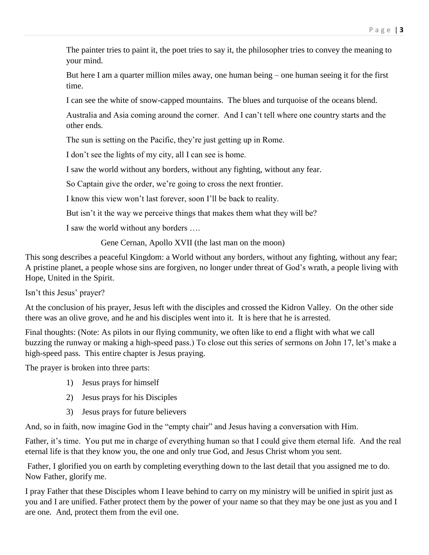The painter tries to paint it, the poet tries to say it, the philosopher tries to convey the meaning to your mind.

But here I am a quarter million miles away, one human being – one human seeing it for the first time.

I can see the white of snow-capped mountains. The blues and turquoise of the oceans blend.

Australia and Asia coming around the corner. And I can't tell where one country starts and the other ends.

The sun is setting on the Pacific, they're just getting up in Rome.

I don't see the lights of my city, all I can see is home.

I saw the world without any borders, without any fighting, without any fear.

So Captain give the order, we're going to cross the next frontier.

I know this view won't last forever, soon I'll be back to reality.

But isn't it the way we perceive things that makes them what they will be?

I saw the world without any borders ….

Gene Cernan, Apollo XVII (the last man on the moon)

This song describes a peaceful Kingdom: a World without any borders, without any fighting, without any fear; A pristine planet, a people whose sins are forgiven, no longer under threat of God's wrath, a people living with Hope, United in the Spirit.

Isn't this Jesus' prayer?

At the conclusion of his prayer, Jesus left with the disciples and crossed the Kidron Valley. On the other side there was an olive grove, and he and his disciples went into it. It is here that he is arrested.

Final thoughts: (Note: As pilots in our flying community, we often like to end a flight with what we call buzzing the runway or making a high-speed pass.) To close out this series of sermons on John 17, let's make a high-speed pass. This entire chapter is Jesus praying.

The prayer is broken into three parts:

- 1) Jesus prays for himself
- 2) Jesus prays for his Disciples
- 3) Jesus prays for future believers

And, so in faith, now imagine God in the "empty chair" and Jesus having a conversation with Him.

Father, it's time. You put me in charge of everything human so that I could give them eternal life. And the real eternal life is that they know you, the one and only true God, and Jesus Christ whom you sent.

Father, I glorified you on earth by completing everything down to the last detail that you assigned me to do. Now Father, glorify me.

I pray Father that these Disciples whom I leave behind to carry on my ministry will be unified in spirit just as you and I are unified. Father protect them by the power of your name so that they may be one just as you and I are one. And, protect them from the evil one.